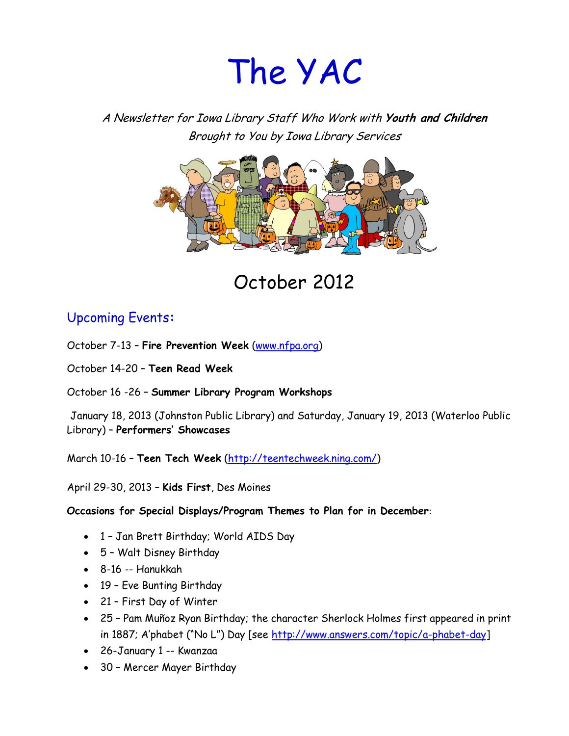# The YAC

A Newsletter for Iowa Library Staff Who Work with **Youth and Children** Brought to You by Iowa Library Services



October 2012

## Upcoming Events**:**

October 7-13 – **Fire Prevention Week** [\(www.nfpa.org\)](http://www.nfpa.org/)

October 14-20 – **Teen Read Week**

October 16 -26 – **Summer Library Program Workshops**

January 18, 2013 (Johnston Public Library) and Saturday, January 19, 2013 (Waterloo Public Library) – **Performers' Showcases**

March 10-16 – **Teen Tech Week** [\(http://teentechweek.ning.com/\)](http://teentechweek.ning.com/)

April 29-30, 2013 – **Kids First**, Des Moines

**Occasions for Special Displays/Program Themes to Plan for in December**:

- 1 Jan Brett Birthday; World AIDS Day
- 5 Walt Disney Birthday
- 8-16 -- Hanukkah
- 19 Eve Bunting Birthday
- 21 First Day of Winter
- 25 Pam Muñoz Ryan Birthday; the character Sherlock Holmes first appeared in print in 1887; A'phabet ("No L") Day [see [http://www.answers.com/topic/a-phabet-day\]](http://www.answers.com/topic/a-phabet-day)
- 26-January 1 -- Kwanzaa
- 30 Mercer Mayer Birthday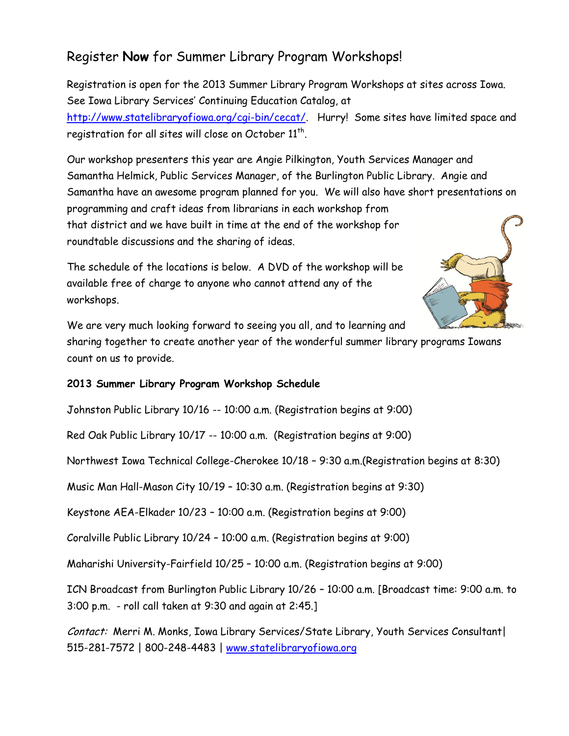## Register **Now** for Summer Library Program Workshops!

Registration is open for the 2013 Summer Library Program Workshops at sites across Iowa. See Iowa Library Services' Continuing Education Catalog, at [http://www.statelibraryofiowa.org/cgi-bin/cecat/.](http://www.statelibraryofiowa.org/cgi-bin/cecat/) Hurry! Some sites have limited space and registration for all sites will close on October  $11^{\sf th}$ .

Our workshop presenters this year are Angie Pilkington, Youth Services Manager and Samantha Helmick, Public Services Manager, of the Burlington Public Library. Angie and Samantha have an awesome program planned for you. We will also have short presentations on programming and craft ideas from librarians in each workshop from that district and we have built in time at the end of the workshop for roundtable discussions and the sharing of ideas.

The schedule of the locations is below. A DVD of the workshop will be available free of charge to anyone who cannot attend any of the workshops.



We are very much looking forward to seeing you all, and to learning and

sharing together to create another year of the wonderful summer library programs Iowans count on us to provide.

#### **2013 Summer Library Program Workshop Schedule**

Johnston Public Library 10/16 -- 10:00 a.m. (Registration begins at 9:00)

Red Oak Public Library 10/17 -- 10:00 a.m. (Registration begins at 9:00)

Northwest Iowa Technical College-Cherokee 10/18 – 9:30 a.m.(Registration begins at 8:30)

Music Man Hall-Mason City 10/19 – 10:30 a.m. (Registration begins at 9:30)

Keystone AEA-Elkader 10/23 – 10:00 a.m. (Registration begins at 9:00)

Coralville Public Library 10/24 – 10:00 a.m. (Registration begins at 9:00)

Maharishi University-Fairfield 10/25 – 10:00 a.m. (Registration begins at 9:00)

ICN Broadcast from Burlington Public Library 10/26 – 10:00 a.m. [Broadcast time: 9:00 a.m. to 3:00 p.m. - roll call taken at 9:30 and again at 2:45.]

Contact: Merri M. Monks, Iowa Library Services/State Library, Youth Services Consultant| 515-281-7572 | 800-248-4483 | [www.statelibraryofiowa.org](http://www.statelibraryofiowa.org/)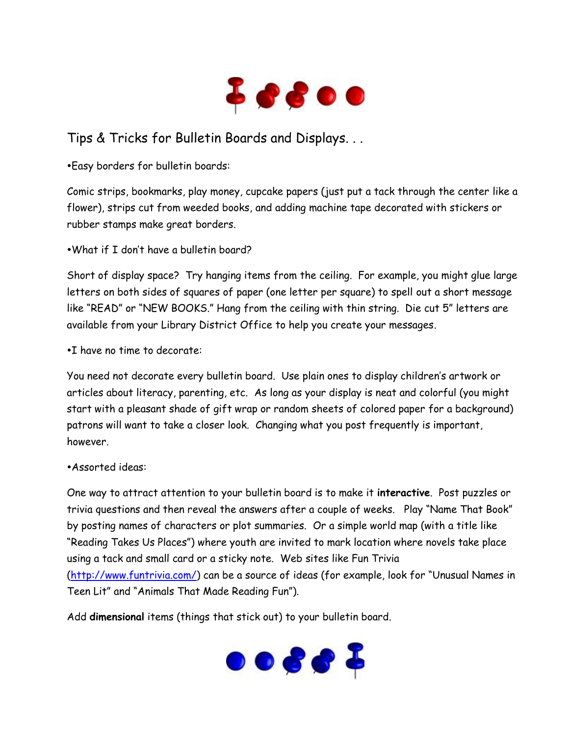

## Tips & Tricks for Bulletin Boards and Displays. . .

Easy borders for bulletin boards:

Comic strips, bookmarks, play money, cupcake papers (just put a tack through the center like a flower), strips cut from weeded books, and adding machine tape decorated with stickers or rubber stamps make great borders.

#### What if I don't have a bulletin board?

Short of display space? Try hanging items from the ceiling. For example, you might glue large letters on both sides of squares of paper (one letter per square) to spell out a short message like "READ" or "NEW BOOKS." Hang from the ceiling with thin string. Die cut 5" letters are available from your Library District Office to help you create your messages.

I have no time to decorate:

You need not decorate every bulletin board. Use plain ones to display children's artwork or articles about literacy, parenting, etc. As long as your display is neat and colorful (you might start with a pleasant shade of gift wrap or random sheets of colored paper for a background) patrons will want to take a closer look. Changing what you post frequently is important, however.

#### Assorted ideas:

One way to attract attention to your bulletin board is to make it **interactive**. Post puzzles or trivia questions and then reveal the answers after a couple of weeks. Play "Name That Book" by posting names of characters or plot summaries. Or a simple world map (with a title like "Reading Takes Us Places") where youth are invited to mark location where novels take place using a tack and small card or a sticky note. Web sites like Fun Trivia [\(http://www.funtrivia.com/](http://www.funtrivia.com/)) can be a source of ideas (for example, look for "Unusual Names in Teen Lit" and "Animals That Made Reading Fun").

Add **dimensional** items (things that stick out) to your bulletin board.

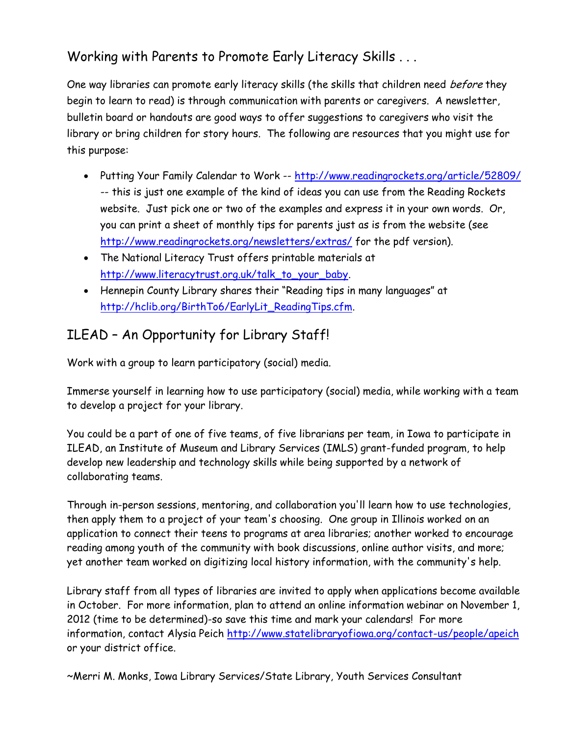# Working with Parents to Promote Early Literacy Skills . . .

One way libraries can promote early literacy skills (the skills that children need before they begin to learn to read) is through communication with parents or caregivers. A newsletter, bulletin board or handouts are good ways to offer suggestions to caregivers who visit the library or bring children for story hours. The following are resources that you might use for this purpose:

- Putting Your Family Calendar to Work -- <http://www.readingrockets.org/article/52809/> -- this is just one example of the kind of ideas you can use from the Reading Rockets website. Just pick one or two of the examples and express it in your own words. Or, you can print a sheet of monthly tips for parents just as is from the website (see <http://www.readingrockets.org/newsletters/extras/> for the pdf version).
- The National Literacy Trust offers printable materials at [http://www.literacytrust.org.uk/talk\\_to\\_your\\_baby.](http://www.literacytrust.org.uk/talk_to_your_baby)
- Hennepin County Library shares their "Reading tips in many languages" at [http://hclib.org/BirthTo6/EarlyLit\\_ReadingTips.cfm.](http://hclib.org/BirthTo6/EarlyLit_ReadingTips.cfm)

# ILEAD – An Opportunity for Library Staff!

Work with a group to learn participatory (social) media.

Immerse yourself in learning how to use participatory (social) media, while working with a team to develop a project for your library.

You could be a part of one of five teams, of five librarians per team, in Iowa to participate in ILEAD, an Institute of Museum and Library Services (IMLS) grant-funded program, to help develop new leadership and technology skills while being supported by a network of collaborating teams.

Through in-person sessions, mentoring, and collaboration you'll learn how to use technologies, then apply them to a project of your team's choosing. One group in Illinois worked on an application to connect their teens to programs at area libraries; another worked to encourage reading among youth of the community with book discussions, online author visits, and more; yet another team worked on digitizing local history information, with the community's help.

Library staff from all types of libraries are invited to apply when applications become available in October. For more information, plan to attend an online information webinar on November 1, 2012 (time to be determined)-so save this time and mark your calendars! For more information, contact Alysia Peich<http://www.statelibraryofiowa.org/contact-us/people/apeich> or your district office.

~Merri M. Monks, Iowa Library Services/State Library, Youth Services Consultant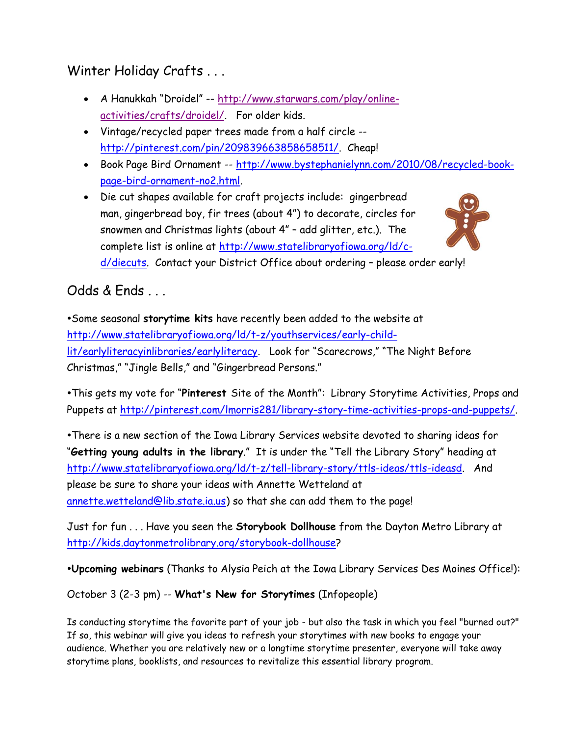Winter Holiday Crafts . . .

- A Hanukkah "Droidel" -- [http://www.starwars.com/play/online](http://www.starwars.com/play/online-activities/crafts/droidel/)[activities/crafts/droidel/.](http://www.starwars.com/play/online-activities/crafts/droidel/) For older kids.
- Vintage/recycled paper trees made from a half circle [http://pinterest.com/pin/209839663858658511/.](http://pinterest.com/pin/209839663858658511/) Cheap!
- Book Page Bird Ornament -- [http://www.bystephanielynn.com/2010/08/recycled-book](http://www.bystephanielynn.com/2010/08/recycled-book-page-bird-ornament-no2.html)[page-bird-ornament-no2.html.](http://www.bystephanielynn.com/2010/08/recycled-book-page-bird-ornament-no2.html)
- Die cut shapes available for craft projects include: gingerbread man, gingerbread boy, fir trees (about 4") to decorate, circles for snowmen and Christmas lights (about 4" – add glitter, etc.). The complete list is online at [http://www.statelibraryofiowa.org/ld/c-](http://www.statelibraryofiowa.org/ld/c-d/diecuts)



[d/diecuts.](http://www.statelibraryofiowa.org/ld/c-d/diecuts) Contact your District Office about ordering – please order early!

## Odds & Fnds

Some seasonal **storytime kits** have recently been added to the website at [http://www.statelibraryofiowa.org/ld/t-z/youthservices/early-child](http://www.statelibraryofiowa.org/ld/t-z/youthservices/early-child-lit/earlyliteracyinlibraries/earlyliteracy)[lit/earlyliteracyinlibraries/earlyliteracy](http://www.statelibraryofiowa.org/ld/t-z/youthservices/early-child-lit/earlyliteracyinlibraries/earlyliteracy). Look for "Scarecrows," "The Night Before Christmas," "Jingle Bells," and "Gingerbread Persons."

This gets my vote for "**Pinterest** Site of the Month": Library Storytime Activities, Props and Puppets at [http://pinterest.com/lmorris281/library-story-time-activities-props-and-puppets/.](http://pinterest.com/lmorris281/library-story-time-activities-props-and-puppets/)

There is a new section of the Iowa Library Services website devoted to sharing ideas for "**Getting young adults in the library**." It is under the "Tell the Library Story" heading at [http://www.statelibraryofiowa.org/ld/t-z/tell-library-story/ttls-ideas/ttls-ideasd.](http://www.statelibraryofiowa.org/ld/t-z/tell-library-story/ttls-ideas/ttls-ideasd) And please be sure to share your ideas with Annette Wetteland at [annette.wetteland@lib.state.ia.us\)](mailto:annette.wetteland@lib.state.ia.us) so that she can add them to the page!

Just for fun . . . Have you seen the **Storybook Dollhouse** from the Dayton Metro Library at [http://kids.daytonmetrolibrary.org/storybook-dollhouse?](http://kids.daytonmetrolibrary.org/storybook-dollhouse)

**Upcoming webinars** (Thanks to Alysia Peich at the Iowa Library Services Des Moines Office!):

October 3 (2-3 pm) -- **What's New for Storytimes** (Infopeople)

Is conducting storytime the favorite part of your job - but also the task in which you feel "burned out?" If so, this webinar will give you ideas to refresh your storytimes with new books to engage your audience. Whether you are relatively new or a longtime storytime presenter, everyone will take away storytime plans, booklists, and resources to revitalize this essential library program.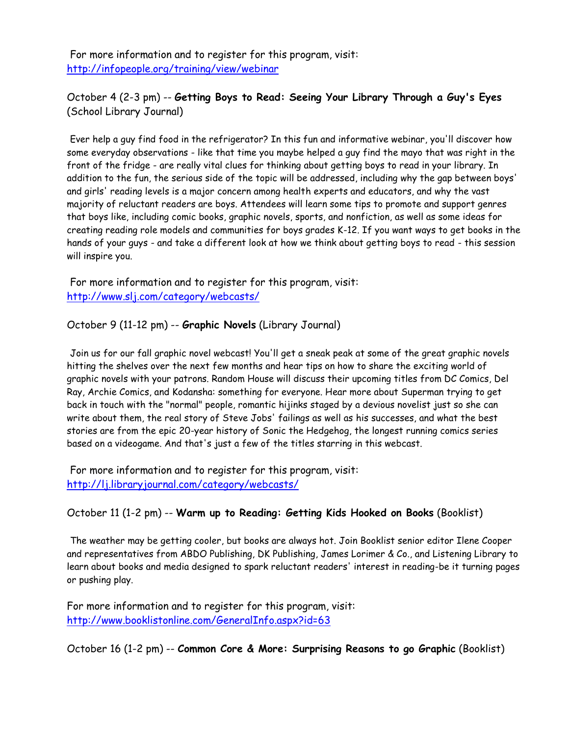For more information and to register for this program, visit: <http://infopeople.org/training/view/webinar>

#### October 4 (2-3 pm) -- **Getting Boys to Read: Seeing Your Library Through a Guy's Eyes** (School Library Journal)

Ever help a guy find food in the refrigerator? In this fun and informative webinar, you'll discover how some everyday observations - like that time you maybe helped a guy find the mayo that was right in the front of the fridge - are really vital clues for thinking about getting boys to read in your library. In addition to the fun, the serious side of the topic will be addressed, including why the gap between boys' and girls' reading levels is a major concern among health experts and educators, and why the vast majority of reluctant readers are boys. Attendees will learn some tips to promote and support genres that boys like, including comic books, graphic novels, sports, and nonfiction, as well as some ideas for creating reading role models and communities for boys grades K-12. If you want ways to get books in the hands of your guys - and take a different look at how we think about getting boys to read - this session will inspire you.

For more information and to register for this program, visit: <http://www.slj.com/category/webcasts/>

October 9 (11-12 pm) -- **Graphic Novels** (Library Journal)

Join us for our fall graphic novel webcast! You'll get a sneak peak at some of the great graphic novels hitting the shelves over the next few months and hear tips on how to share the exciting world of graphic novels with your patrons. Random House will discuss their upcoming titles from DC Comics, Del Ray, Archie Comics, and Kodansha: something for everyone. Hear more about Superman trying to get back in touch with the "normal" people, romantic hijinks staged by a devious novelist just so she can write about them, the real story of Steve Jobs' failings as well as his successes, and what the best stories are from the epic 20-year history of Sonic the Hedgehog, the longest running comics series based on a videogame. And that's just a few of the titles starring in this webcast.

For more information and to register for this program, visit: <http://lj.libraryjournal.com/category/webcasts/>

#### October 11 (1-2 pm) -- **Warm up to Reading: Getting Kids Hooked on Books** (Booklist)

The weather may be getting cooler, but books are always hot. Join Booklist senior editor Ilene Cooper and representatives from ABDO Publishing, DK Publishing, James Lorimer & Co., and Listening Library to learn about books and media designed to spark reluctant readers' interest in reading-be it turning pages or pushing play.

For more information and to register for this program, visit: <http://www.booklistonline.com/GeneralInfo.aspx?id=63>

October 16 (1-2 pm) -- **Common Core & More: Surprising Reasons to go Graphic** (Booklist)